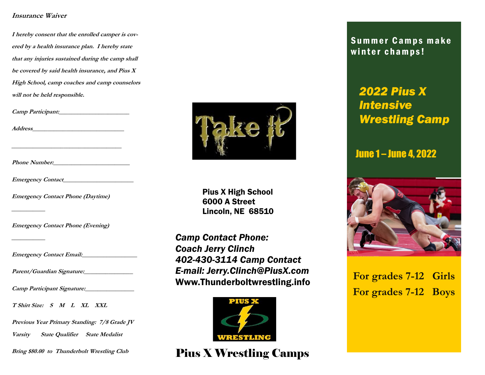## **Insurance Waiver**

**I hereby consent that the enrolled camper is covered by a health insurance plan. I hereby state that any injuries sustained during the camp shall be covered by said health insurance, and Pius X High School, camp coaches and camp counselors will not be held responsible.**

**Camp Participant:\_\_\_\_\_\_\_\_\_\_\_\_\_\_\_\_\_\_\_\_\_\_\_**

**Address\_\_\_\_\_\_\_\_\_\_\_\_\_\_\_\_\_\_\_\_\_\_\_\_\_\_\_\_\_\_**

**Phone Number:** 

**Emergency Contact Phone (Daytime)**

**Emergency Contact Phone (Evening)**

**Emergency Contact Email:\_\_\_\_\_\_\_\_\_\_\_\_\_\_\_\_\_\_**

**Parent/Guardian Signature:\_\_\_\_\_\_\_\_\_\_\_\_\_\_\_\_**

**Camp Participant Signature:\_\_\_\_\_\_\_\_\_\_\_\_\_\_\_\_**

**T Shirt Size: S M L XL XXL**

**Previous Year Primary Standing: 7/8 Grade JV** 

**Varsity State Qualifier State Medalist**

**Bring \$80.00 to Thunderbolt Wrestling Club**



Pius X High School 6000 A Street Lincoln, NE 68510

*Camp Contact Phone: Coach Jerry Clinch 402-430-3114 Camp Contact E-mail: Jerry.Clinch@PiusX.com*  Www.Thunderboltwrestling.info



Pius X Wrestling Camps

Summer Camps make winter champs!

# *2022 Pius X Intensive Wrestling Camp*

## June 1 – June 4, 2022



**For grades 7-12 Girls For grades 7-12 Boys**